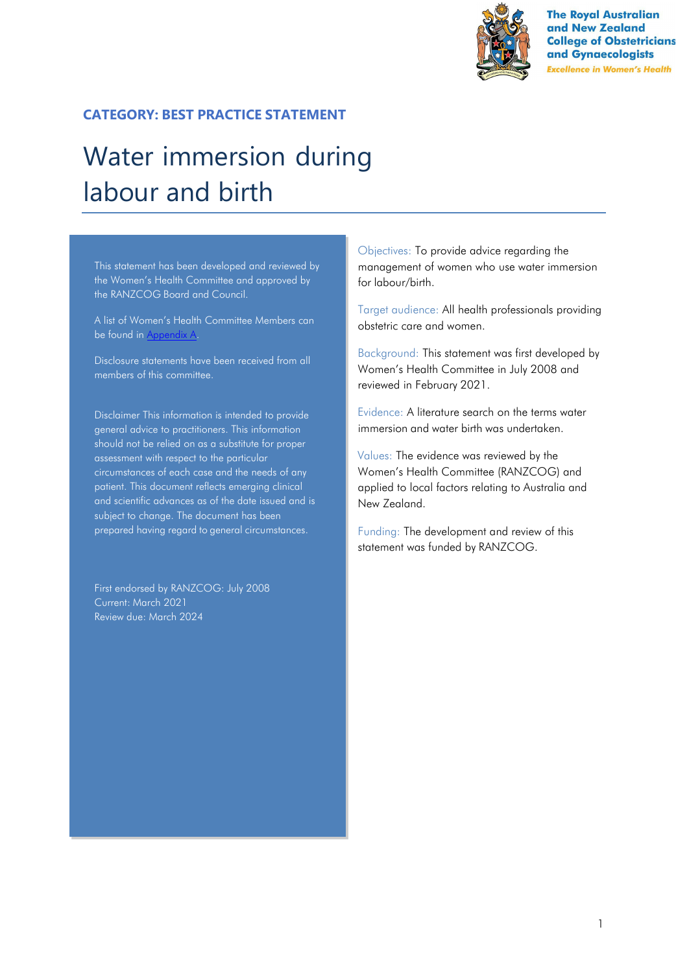

**The Royal Australian** and New Zealand **College of Obstetricians** and Gynaecologists **Excellence in Women's Health** 

# **CATEGORY: BEST PRACTICE STATEMENT**

# Water immersion during labour and birth

This statement has been developed and reviewed by the Women's Health Committee and approved by the RANZCOG Board and Council.

A list of Women's Health Committee Members can be found in Appendix A.

Disclosure statements have been received from all members of this committee.

Disclaimer This information is intended to provide general advice to practitioners. This information should not be relied on as a substitute for proper assessment with respect to the particular circumstances of each case and the needs of any patient. This document reflects emerging clinical and scientific advances as of the date issued and is subject to change. The document has been prepared having regard to general circumstances.

First endorsed by RANZCOG: July 2008 Current: March 2021 Review due: March 2024

Objectives: To provide advice regarding the management of women who use water immersion for labour/birth.

Target audience: All health professionals providing obstetric care and women.

Background: This statement was first developed by Women's Health Committee in July 2008 and reviewed in February 2021.

Evidence: A literature search on the terms water immersion and water birth was undertaken.

Values: The evidence was reviewed by the Women's Health Committee (RANZCOG) and applied to local factors relating to Australia and New Zealand.

Funding: The development and review of this statement was funded by RANZCOG.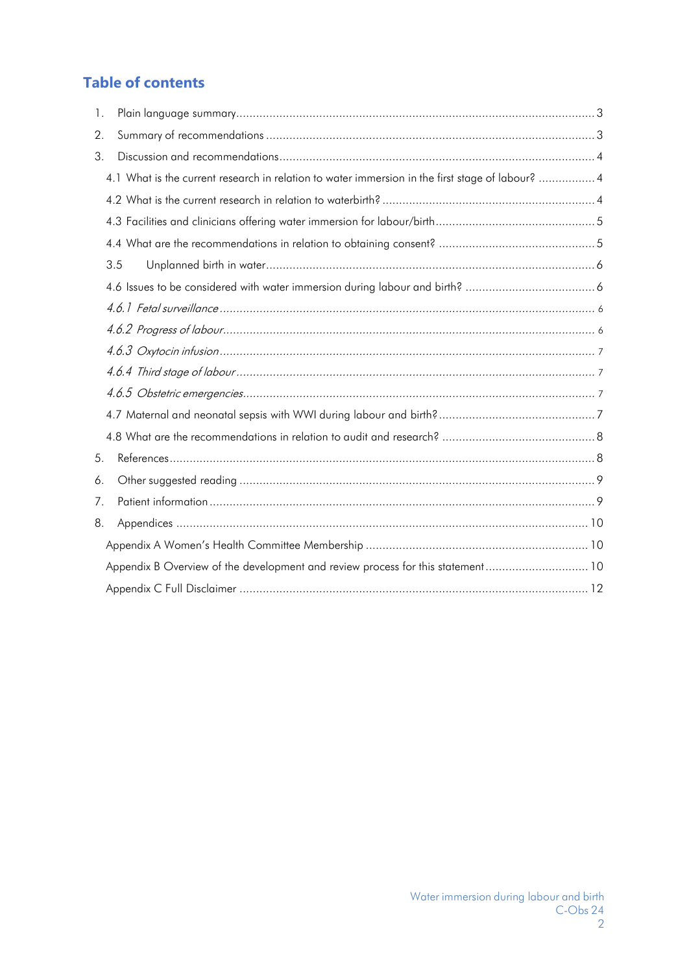# **Table of contents**

| 1. |                                                                                                  |  |
|----|--------------------------------------------------------------------------------------------------|--|
| 2. |                                                                                                  |  |
| 3. |                                                                                                  |  |
|    | 4.1 What is the current research in relation to water immersion in the first stage of labour?  4 |  |
|    |                                                                                                  |  |
|    |                                                                                                  |  |
|    |                                                                                                  |  |
|    | 3.5                                                                                              |  |
|    |                                                                                                  |  |
|    |                                                                                                  |  |
|    |                                                                                                  |  |
|    |                                                                                                  |  |
|    |                                                                                                  |  |
|    |                                                                                                  |  |
|    |                                                                                                  |  |
|    |                                                                                                  |  |
| 5. |                                                                                                  |  |
| 6. |                                                                                                  |  |
| 7. |                                                                                                  |  |
| 8. |                                                                                                  |  |
|    |                                                                                                  |  |
|    | Appendix B Overview of the development and review process for this statement 10                  |  |
|    |                                                                                                  |  |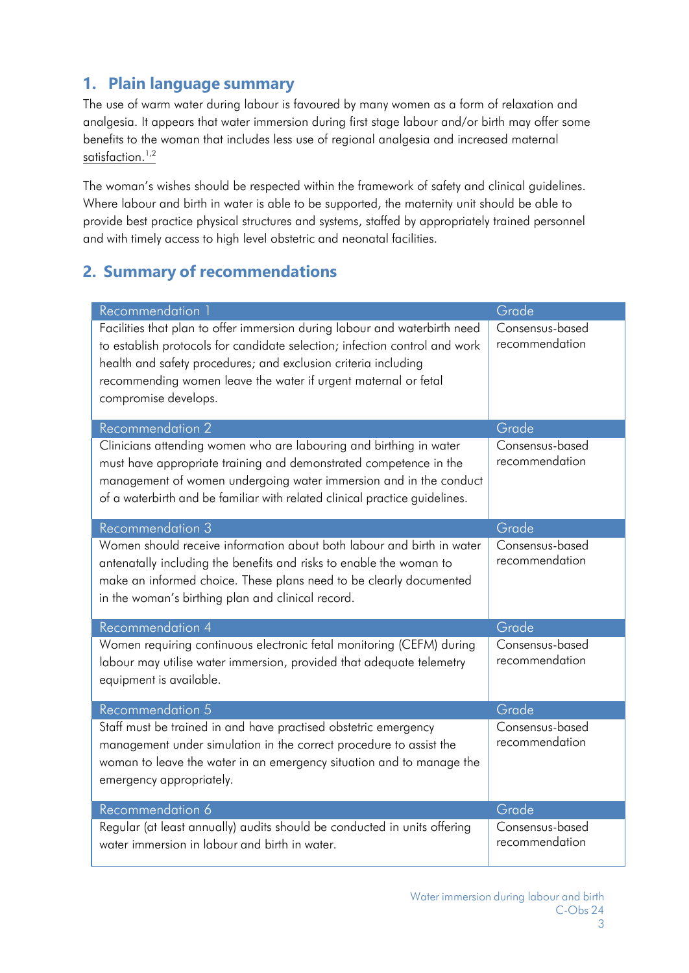# <span id="page-2-0"></span>**1. Plain language summary**

The use of warm water during labour is favoured by many women as a form of relaxation and analgesia. It appears that water immersion during first stage labour and/or birth may offer some benefits to the woman that includes less use of regional analgesia and increased maternal satisfaction.<sup>1,2</sup>

The woman's wishes should be respected within the framework of safety and clinical guidelines. Where labour and birth in water is able to be supported, the maternity unit should be able to provide best practice physical structures and systems, staffed by appropriately trained personnel and with timely access to high level obstetric and neonatal facilities.

# <span id="page-2-1"></span>**2. Summary of recommendations**

| Recommendation 1                                                                                                                                                                                                                                                                                                    | Grade                             |
|---------------------------------------------------------------------------------------------------------------------------------------------------------------------------------------------------------------------------------------------------------------------------------------------------------------------|-----------------------------------|
| Facilities that plan to offer immersion during labour and waterbirth need<br>to establish protocols for candidate selection; infection control and work<br>health and safety procedures; and exclusion criteria including<br>recommending women leave the water if urgent maternal or fetal<br>compromise develops. | Consensus-based<br>recommendation |
| <b>Recommendation 2</b>                                                                                                                                                                                                                                                                                             | Grade                             |
| Clinicians attending women who are labouring and birthing in water<br>must have appropriate training and demonstrated competence in the<br>management of women undergoing water immersion and in the conduct<br>of a waterbirth and be familiar with related clinical practice guidelines.                          | Consensus-based<br>recommendation |
| <b>Recommendation 3</b>                                                                                                                                                                                                                                                                                             | Grade                             |
| Women should receive information about both labour and birth in water<br>antenatally including the benefits and risks to enable the woman to<br>make an informed choice. These plans need to be clearly documented<br>in the woman's birthing plan and clinical record.                                             | Consensus-based<br>recommendation |
| <b>Recommendation 4</b>                                                                                                                                                                                                                                                                                             | Grade                             |
| Women requiring continuous electronic fetal monitoring (CEFM) during<br>labour may utilise water immersion, provided that adequate telemetry<br>equipment is available.                                                                                                                                             | Consensus-based<br>recommendation |
| Recommendation 5                                                                                                                                                                                                                                                                                                    | Grade                             |
| Staff must be trained in and have practised obstetric emergency<br>management under simulation in the correct procedure to assist the<br>woman to leave the water in an emergency situation and to manage the<br>emergency appropriately.                                                                           | Consensus-based<br>recommendation |
| Recommendation 6                                                                                                                                                                                                                                                                                                    | Grade                             |
| Regular (at least annually) audits should be conducted in units offering<br>water immersion in labour and birth in water.                                                                                                                                                                                           | Consensus-based<br>recommendation |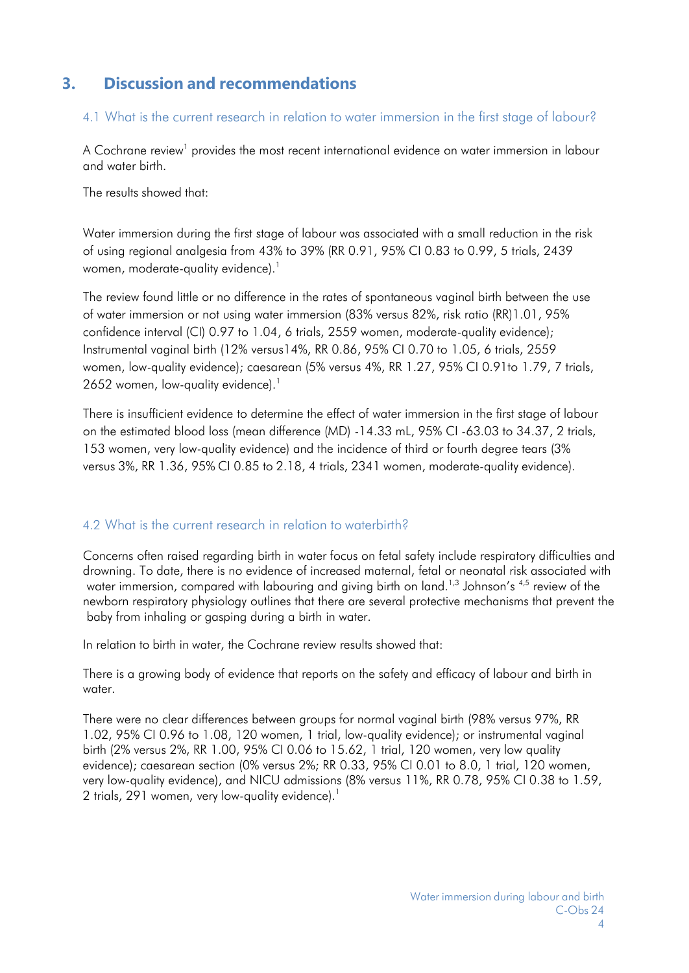# <span id="page-3-0"></span>**3. Discussion and recommendations**

#### 4.1 What is the current research in relation to water immersion in the first stage of labour?

A Cochrane review<sup>1</sup> provides the most recent international evidence on water immersion in labour and water birth.

The results showed that:

Water immersion during the first stage of labour was associated with a small reduction in the risk of using regional analgesia from 43% to 39% (RR 0.91, 95% CI 0.83 to 0.99, 5 trials, 2439 women, moderate-quality evidence).<sup>1</sup>

The review found little or no difference in the rates of spontaneous vaginal birth between the use of water immersion or not using water immersion (83% versus 82%, risk ratio (RR)1.01, 95% confidence interval (CI) 0.97 to 1.04, 6 trials, 2559 women, moderate-quality evidence); Instrumental vaginal birth (12% versus14%, RR 0.86, 95% CI 0.70 to 1.05, 6 trials, 2559 women, low-quality evidence); caesarean (5% versus 4%, RR 1.27, 95% CI 0.91to 1.79, 7 trials, 2652 women, low-quality evidence).<sup>1</sup>

There is insufficient evidence to determine the effect of water immersion in the first stage of labour on the estimated blood loss (mean difference (MD) -14.33 mL, 95% CI -63.03 to 34.37, 2 trials, 153 women, very low-quality evidence) and the incidence of third or fourth degree tears (3% versus 3%, RR 1.36, 95% CI 0.85 to 2.18, 4 trials, 2341 women, moderate-quality evidence).

#### <span id="page-3-1"></span>4.2 What is the current research in relation to waterbirth?

Concerns often raised regarding birth in water focus on fetal safety include respiratory difficulties and drowning. To date, there is no evidence of increased maternal, fetal or neonatal risk associated with water immersion, compared with labouring and giving birth on land.<sup>1,3</sup> Johnson's  $4,5$  review of the newborn respiratory physiology outlines that there are several protective mechanisms that prevent the baby from inhaling or gasping during a birth in water.

In relation to birth in water, the Cochrane review results showed that:

There is a growing body of evidence that reports on the safety and efficacy of labour and birth in water.

There were no clear differences between groups for normal vaginal birth (98% versus 97%, RR 1.02, 95% CI 0.96 to 1.08, 120 women, 1 trial, low-quality evidence); or instrumental vaginal birth (2% versus 2%, RR 1.00, 95% CI 0.06 to 15.62, 1 trial, 120 women, very low quality evidence); caesarean section (0% versus 2%; RR 0.33, 95% CI 0.01 to 8.0, 1 trial, 120 women, very low-quality evidence), and NICU admissions (8% versus 11%, RR 0.78, 95% CI 0.38 to 1.59, 2 trials, 291 women, very low-quality evidence).<sup>1</sup>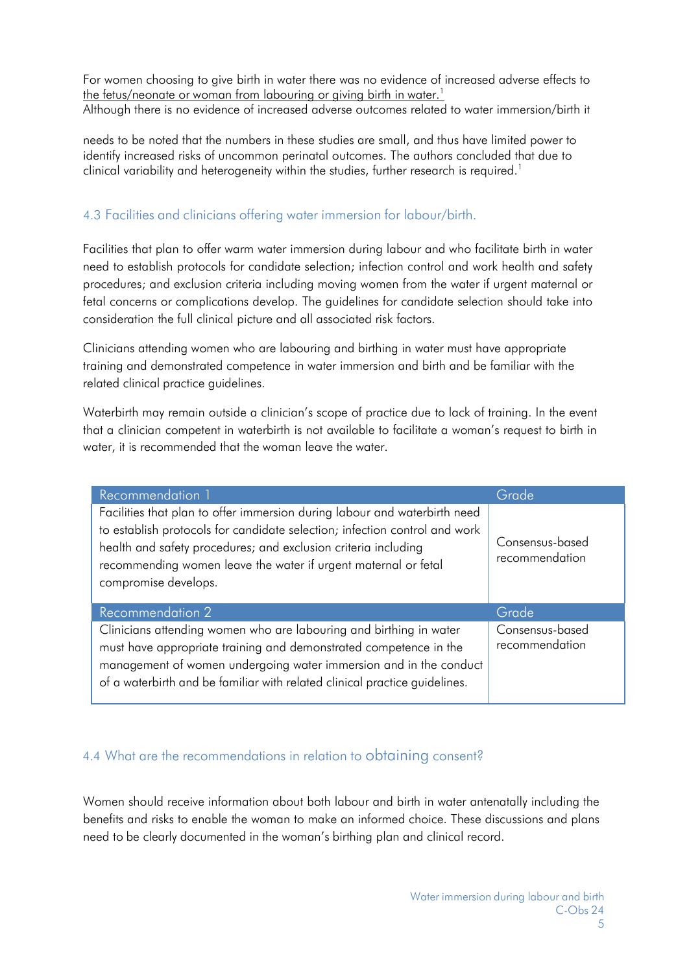For women choosing to give birth in water there was no evidence of increased adverse effects to the fetus/neonate or woman from labouring or giving birth in water.<sup>1</sup> Although there is no evidence of increased adverse outcomes related to water immersion/birth it

needs to be noted that the numbers in these studies are small, and thus have limited power to identify increased risks of uncommon perinatal outcomes. The authors concluded that due to clinical variability and heterogeneity within the studies, further research is required.<sup>1</sup>

## <span id="page-4-0"></span>4.3 Facilities and clinicians offering water immersion for labour/birth.

Facilities that plan to offer warm water immersion during labour and who facilitate birth in water need to establish protocols for candidate selection; infection control and work health and safety procedures; and exclusion criteria including moving women from the water if urgent maternal or fetal concerns or complications develop. The guidelines for candidate selection should take into consideration the full clinical picture and all associated risk factors.

Clinicians attending women who are labouring and birthing in water must have appropriate training and demonstrated competence in water immersion and birth and be familiar with the related clinical practice guidelines.

Waterbirth may remain outside a clinician's scope of practice due to lack of training. In the event that a clinician competent in waterbirth is not available to facilitate a woman's request to birth in water, it is recommended that the woman leave the water.

| Recommendation 1                                                                                                                                                                                                                                                                                                    | Grade                             |
|---------------------------------------------------------------------------------------------------------------------------------------------------------------------------------------------------------------------------------------------------------------------------------------------------------------------|-----------------------------------|
| Facilities that plan to offer immersion during labour and waterbirth need<br>to establish protocols for candidate selection; infection control and work<br>health and safety procedures; and exclusion criteria including<br>recommending women leave the water if urgent maternal or fetal<br>compromise develops. | Consensus-based<br>recommendation |
| <b>Recommendation 2</b>                                                                                                                                                                                                                                                                                             | Grade                             |
| Clinicians attending women who are labouring and birthing in water<br>must have appropriate training and demonstrated competence in the<br>management of women undergoing water immersion and in the conduct<br>of a waterbirth and be familiar with related clinical practice guidelines.                          | Consensus-based<br>recommendation |

## <span id="page-4-1"></span>4.4 What are the recommendations in relation to obtaining consent?

Women should receive information about both labour and birth in water antenatally including the benefits and risks to enable the woman to make an informed choice. These discussions and plans need to be clearly documented in the woman's birthing plan and clinical record.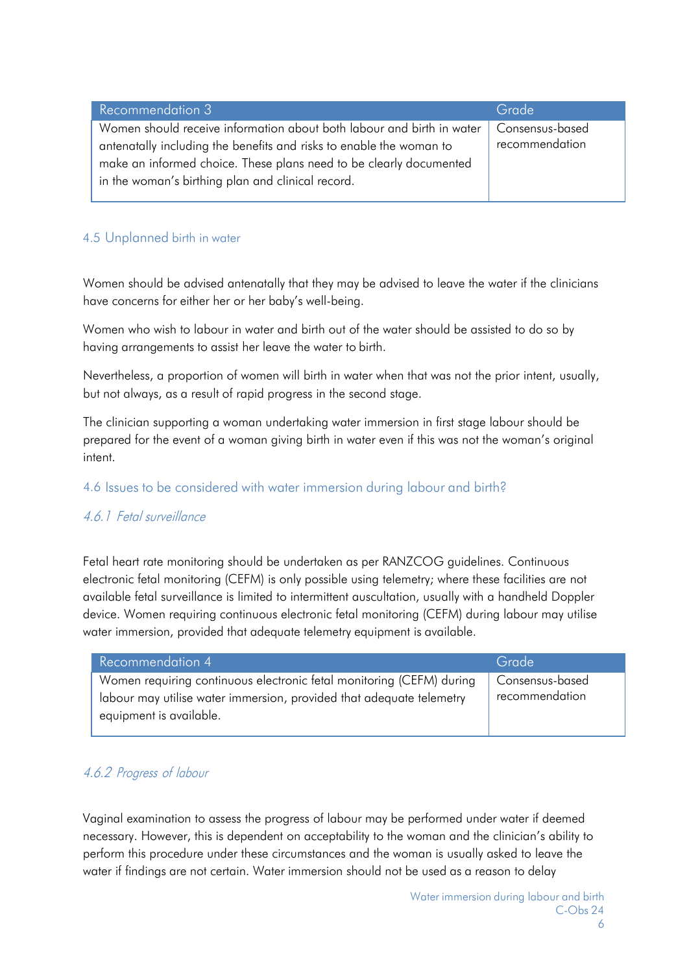| <b>Recommendation 3</b>                                               | Grade           |
|-----------------------------------------------------------------------|-----------------|
| Women should receive information about both labour and birth in water | Consensus-based |
| antenatally including the benefits and risks to enable the woman to   | recommendation  |
| make an informed choice. These plans need to be clearly documented    |                 |
| in the woman's birthing plan and clinical record.                     |                 |
|                                                                       |                 |

## <span id="page-5-0"></span>4.5 Unplanned birth in water

Women should be advised antenatally that they may be advised to leave the water if the clinicians have concerns for either her or her baby's well-being.

Women who wish to labour in water and birth out of the water should be assisted to do so by having arrangements to assist her leave the water to birth.

Nevertheless, a proportion of women will birth in water when that was not the prior intent, usually, but not always, as a result of rapid progress in the second stage.

The clinician supporting a woman undertaking water immersion in first stage labour should be prepared for the event of a woman giving birth in water even if this was not the woman's original intent.

#### <span id="page-5-1"></span>4.6 Issues to be considered with water immersion during labour and birth?

#### 4.6.1 Fetal surveillance

Fetal heart rate monitoring should be undertaken as per RANZCOG guidelines. Continuous electronic fetal monitoring (CEFM) is only possible using telemetry; where these facilities are not available fetal surveillance is limited to intermittent auscultation, usually with a handheld Doppler device. Women requiring continuous electronic fetal monitoring (CEFM) during labour may utilise water immersion, provided that adequate telemetry equipment is available.

| Recommendation 4                                                     | Grade           |
|----------------------------------------------------------------------|-----------------|
| Women requiring continuous electronic fetal monitoring (CEFM) during | Consensus-based |
| labour may utilise water immersion, provided that adequate telemetry | recommendation  |
| equipment is available.                                              |                 |

## <span id="page-5-2"></span>4.6.2 Progress of labour

Vaginal examination to assess the progress of labour may be performed under water if deemed necessary. However, this is dependent on acceptability to the woman and the clinician's ability to perform this procedure under these circumstances and the woman is usually asked to leave the water if findings are not certain. Water immersion should not be used as a reason to delay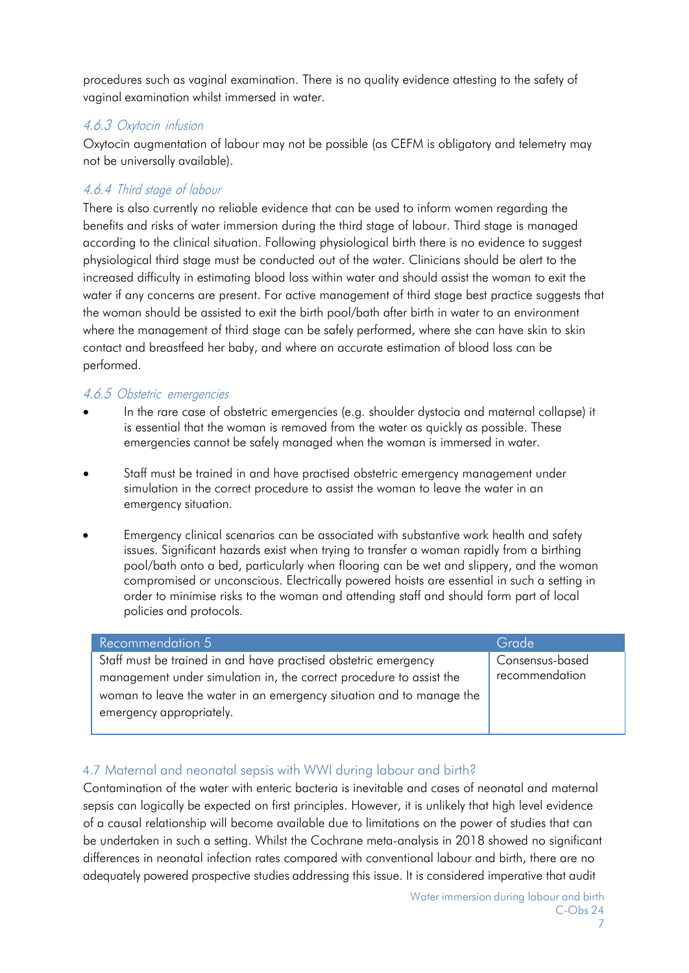procedures such as vaginal examination. There is no quality evidence attesting to the safety of vaginal examination whilst immersed in water.

### <span id="page-6-0"></span>4.6.3 Oxytocin infusion

Oxytocin augmentation of labour may not be possible (as CEFM is obligatory and telemetry may not be universally available).

## <span id="page-6-1"></span>4.6.4 Third stage of labour

There is also currently no reliable evidence that can be used to inform women regarding the benefits and risks of water immersion during the third stage of labour. Third stage is managed according to the clinical situation. Following physiological birth there is no evidence to suggest physiological third stage must be conducted out of the water. Clinicians should be alert to the increased difficulty in estimating blood loss within water and should assist the woman to exit the water if any concerns are present. For active management of third stage best practice suggests that the woman should be assisted to exit the birth pool/bath after birth in water to an environment where the management of third stage can be safely performed, where she can have skin to skin contact and breastfeed her baby, and where an accurate estimation of blood loss can be performed.

## <span id="page-6-2"></span>4.6.5 Obstetric emergencies

- In the rare case of obstetric emergencies (e.g. shoulder dystocia and maternal collapse) it is essential that the woman is removed from the water as quickly as possible. These emergencies cannot be safely managed when the woman is immersed in water.
- Staff must be trained in and have practised obstetric emergency management under simulation in the correct procedure to assist the woman to leave the water in an emergency situation.
- Emergency clinical scenarios can be associated with substantive work health and safety issues. Significant hazards exist when trying to transfer a woman rapidly from a birthing pool/bath onto a bed, particularly when flooring can be wet and slippery, and the woman compromised or unconscious. Electrically powered hoists are essential in such a setting in order to minimise risks to the woman and attending staff and should form part of local policies and protocols.

| <b>Recommendation 5</b>                                              | Grade           |
|----------------------------------------------------------------------|-----------------|
| Staff must be trained in and have practised obstetric emergency      | Consensus-based |
| management under simulation in, the correct procedure to assist the  | recommendation  |
| woman to leave the water in an emergency situation and to manage the |                 |
| emergency appropriately.                                             |                 |
|                                                                      |                 |

## <span id="page-6-3"></span>4.7 Maternal and neonatal sepsis with WWI during labour and birth?

Contamination of the water with enteric bacteria is inevitable and cases of neonatal and maternal sepsis can logically be expected on first principles. However, it is unlikely that high level evidence of a causal relationship will become available due to limitations on the power of studies that can be undertaken in such a setting. Whilst the Cochrane meta-analysis in 2018 showed no significant differences in neonatal infection rates compared with conventional labour and birth, there are no adequately powered prospective studies addressing this issue. It is considered imperative that audit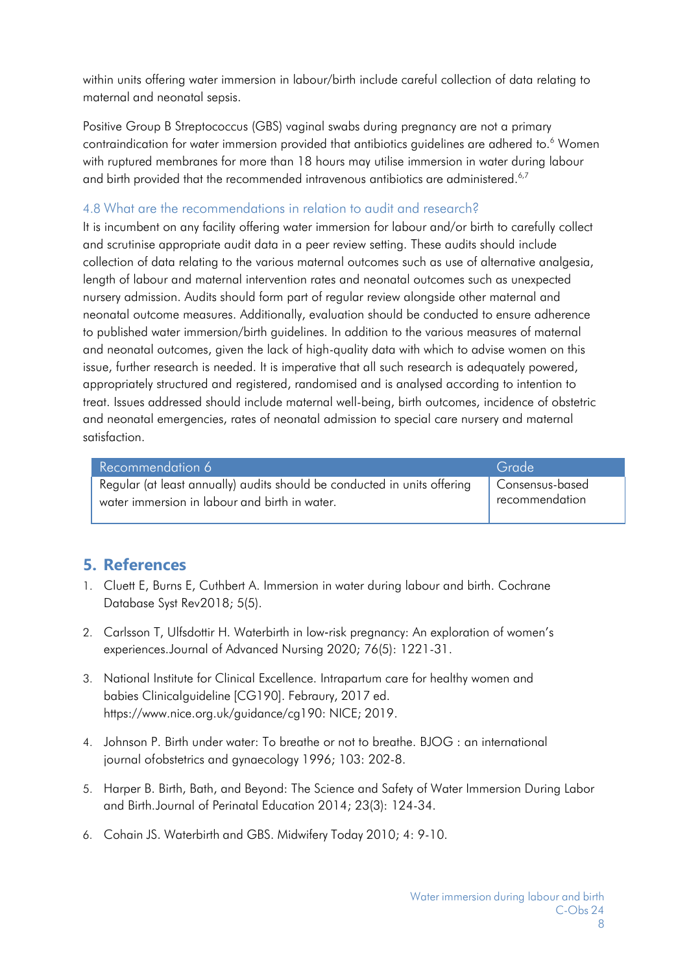within units offering water immersion in labour/birth include careful collection of data relating to maternal and neonatal sepsis.

Positive Group B Streptococcus (GBS) vaginal swabs during pregnancy are not a primary contraindication for water immersion provided that antibiotics guidelines are adhered to.<sup>6</sup> Women with ruptured membranes for more than 18 hours may utilise immersion in water during labour and birth provided that the recommended intravenous antibiotics are administered.<sup>6,7</sup>

#### <span id="page-7-0"></span>4.8 What are the recommendations in relation to audit and research?

It is incumbent on any facility offering water immersion for labour and/or birth to carefully collect and scrutinise appropriate audit data in a peer review setting. These audits should include collection of data relating to the various maternal outcomes such as use of alternative analgesia, length of labour and maternal intervention rates and neonatal outcomes such as unexpected nursery admission. Audits should form part of regular review alongside other maternal and neonatal outcome measures. Additionally, evaluation should be conducted to ensure adherence to published water immersion/birth guidelines. In addition to the various measures of maternal and neonatal outcomes, given the lack of high-quality data with which to advise women on this issue, further research is needed. It is imperative that all such research is adequately powered, appropriately structured and registered, randomised and is analysed according to intention to treat. Issues addressed should include maternal well-being, birth outcomes, incidence of obstetric and neonatal emergencies, rates of neonatal admission to special care nursery and maternal satisfaction.

| Recommendation 6                                                         | Grade                             |
|--------------------------------------------------------------------------|-----------------------------------|
| Regular (at least annually) audits should be conducted in units offering | Consensus-based<br>recommendation |
| water immersion in labour and birth in water.                            |                                   |

# <span id="page-7-1"></span>**5. References**

- 1. Cluett E, Burns E, Cuthbert A. Immersion in water during labour and birth. Cochrane Database Syst Rev2018; 5(5).
- 2. Carlsson T, Ulfsdottir H. Waterbirth in low‐risk pregnancy: An exploration of women's experiences.Journal of Advanced Nursing 2020; 76(5): 1221-31.
- 3. National Institute for Clinical Excellence. Intrapartum care for healthy women and babies Clinicalguideline [CG190]. Febraury, 2017 ed. https:/[/www.nice.org.uk/guidance/cg190:](http://www.nice.org.uk/guidance/cg190) NICE; 2019.
- 4. Johnson P. Birth under water: To breathe or not to breathe. BJOG : an international journal ofobstetrics and gynaecology 1996; 103: 202-8.
- 5. Harper B. Birth, Bath, and Beyond: The Science and Safety of Water Immersion During Labor and Birth.Journal of Perinatal Education 2014; 23(3): 124-34.
- 6. Cohain JS. Waterbirth and GBS. Midwifery Today 2010; 4: 9-10.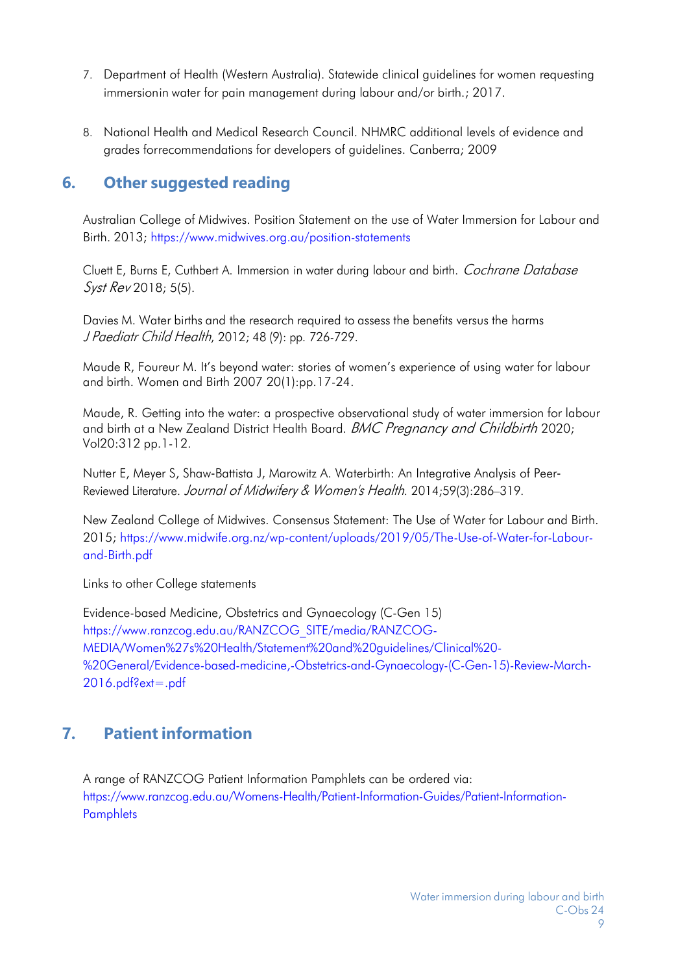- 7. Department of Health (Western Australia). Statewide clinical guidelines for women requesting immersionin water for pain management during labour and/or birth.; 2017.
- 8. National Health and Medical Research Council. NHMRC additional levels of evidence and grades forrecommendations for developers of guidelines. Canberra; 2009

# <span id="page-8-0"></span>**6. Other suggested reading**

Australian College of Midwives. Position Statement on the use of Water Immersion for Labour and Birth. 2013;<https://www.midwives.org.au/position-statements>

Cluett E, Burns E, Cuthbert A. Immersion in water during labour and birth. Cochrane Database Syst Rev 2018; 5(5).

Davies M. Water births and the research required to assess the benefits versus the harms J Paediatr Child Health, 2012; 48 (9): pp. 726-729.

Maude R, Foureur M. It's beyond water: stories of women's experience of using water for labour and birth. Women and Birth 2007 20(1):pp.17-24.

Maude, R. Getting into the water: a prospective observational study of water immersion for labour and birth at a New Zealand District Health Board. BMC Pregnancy and Childbirth 2020; Vol20:312 pp.1-12.

Nutter E, Meyer S, Shaw‐Battista J, Marowitz A. Waterbirth: An Integrative Analysis of Peer‐ Reviewed Literature. Journal of Midwifery & Women's Health. 2014;59(3):286–319.

New Zealand College of Midwives. Consensus Statement: The Use of Water for Labour and Birth. 2015; [https://www.midwife.org.nz/wp-content/uploads/2019/05/The-Use-of-Water-for-Labour](https://www.midwife.org.nz/wp-content/uploads/2019/05/The-Use-of-Water-for-Labour-and-Birth.pdf)[and-Birth.pdf](https://www.midwife.org.nz/wp-content/uploads/2019/05/The-Use-of-Water-for-Labour-and-Birth.pdf)

Links to other College statements

Evidence-based Medicine, Obstetrics and Gynaecology (C-Gen 15) [https://www.ranzcog.edu.au/RANZCOG\\_SITE/media/RANZCOG-](https://www.ranzcog.edu.au/RANZCOG_SITE/media/RANZCOG-MEDIA/Women%27s%20Health/Statement%20and%20guidelines/Clinical%20-%20General/Evidence-based-medicine%2C-Obstetrics-and-Gynaecology-(C-Gen-15)-Review-March-2016.pdf?ext=.pdf)[MEDIA/Women%27s%20Health/Statement%20and%20guidelines/Clinical%20-](https://www.ranzcog.edu.au/RANZCOG_SITE/media/RANZCOG-MEDIA/Women%27s%20Health/Statement%20and%20guidelines/Clinical%20-%20General/Evidence-based-medicine%2C-Obstetrics-and-Gynaecology-(C-Gen-15)-Review-March-2016.pdf?ext=.pdf) [%20General/Evidence-based-medicine,-Obstetrics-and-Gynaecology-\(C-Gen-15\)-Review-March-](https://www.ranzcog.edu.au/RANZCOG_SITE/media/RANZCOG-MEDIA/Women%27s%20Health/Statement%20and%20guidelines/Clinical%20-%20General/Evidence-based-medicine%2C-Obstetrics-and-Gynaecology-(C-Gen-15)-Review-March-2016.pdf?ext=.pdf)[2016.pdf?ext=.pdf](https://www.ranzcog.edu.au/RANZCOG_SITE/media/RANZCOG-MEDIA/Women%27s%20Health/Statement%20and%20guidelines/Clinical%20-%20General/Evidence-based-medicine%2C-Obstetrics-and-Gynaecology-(C-Gen-15)-Review-March-2016.pdf?ext=.pdf)

# <span id="page-8-1"></span>**7. Patient information**

A range of RANZCOG Patient Information Pamphlets can be ordered via: [https://www.ranzcog.edu.au/Womens-Health/Patient-Information-Guides/Patient-Information-](https://www.ranzcog.edu.au/Womens-Health/Patient-Information-Guides/Patient-Information-Pamphlets)**[Pamphlets](https://www.ranzcog.edu.au/Womens-Health/Patient-Information-Guides/Patient-Information-Pamphlets)**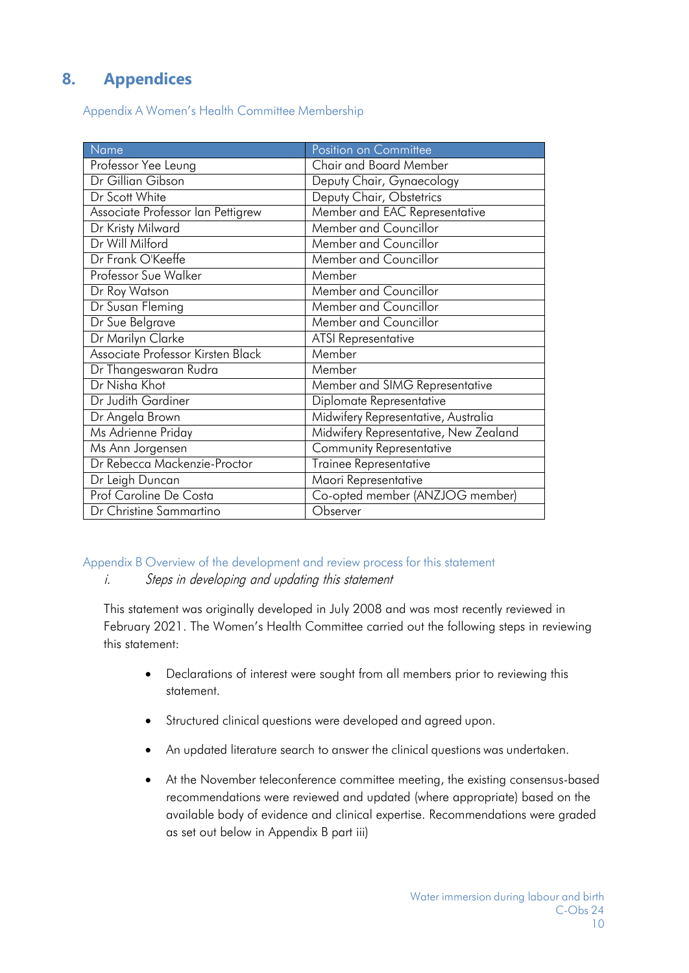# <span id="page-9-0"></span>**8. Appendices**

Appendix A Women's Health Committee Membership

| Name                              | Position on Committee                 |
|-----------------------------------|---------------------------------------|
| Professor Yee Leung               | Chair and Board Member                |
| Dr Gillian Gibson                 | Deputy Chair, Gynaecology             |
| Dr Scott White                    | Deputy Chair, Obstetrics              |
| Associate Professor Ian Pettigrew | Member and EAC Representative         |
| Dr Kristy Milward                 | Member and Councillor                 |
| Dr Will Milford                   | Member and Councillor                 |
| Dr Frank O'Keeffe                 | Member and Councillor                 |
| Professor Sue Walker              | Member                                |
| Dr Roy Watson                     | Member and Councillor                 |
| Dr Susan Fleming                  | Member and Councillor                 |
| Dr Sue Belgrave                   | Member and Councillor                 |
| Dr Marilyn Clarke                 | <b>ATSI Representative</b>            |
| Associate Professor Kirsten Black | Member                                |
| Dr Thangeswaran Rudra             | Member                                |
| Dr Nisha Khot                     | Member and SIMG Representative        |
| Dr Judith Gardiner                | Diplomate Representative              |
| Dr Angela Brown                   | Midwifery Representative, Australia   |
| Ms Adrienne Priday                | Midwifery Representative, New Zealand |
| Ms Ann Jorgensen                  | Community Representative              |
| Dr Rebecca Mackenzie-Proctor      | <b>Trainee Representative</b>         |
| Dr Leigh Duncan                   | Maori Representative                  |
| Prof Caroline De Costa            | Co-opted member (ANZJOG member)       |
| Dr Christine Sammartino           | Observer                              |

# <span id="page-9-1"></span>Appendix B Overview of the development and review process for this statement

i. Steps in developing and updating this statement

This statement was originally developed in July 2008 and was most recently reviewed in February 2021. The Women's Health Committee carried out the following steps in reviewing this statement:

- Declarations of interest were sought from all members prior to reviewing this statement.
- Structured clinical questions were developed and agreed upon.
- An updated literature search to answer the clinical questions was undertaken.
- At the November teleconference committee meeting, the existing consensus-based recommendations were reviewed and updated (where appropriate) based on the available body of evidence and clinical expertise. Recommendations were graded as set out below in Appendix B part iii)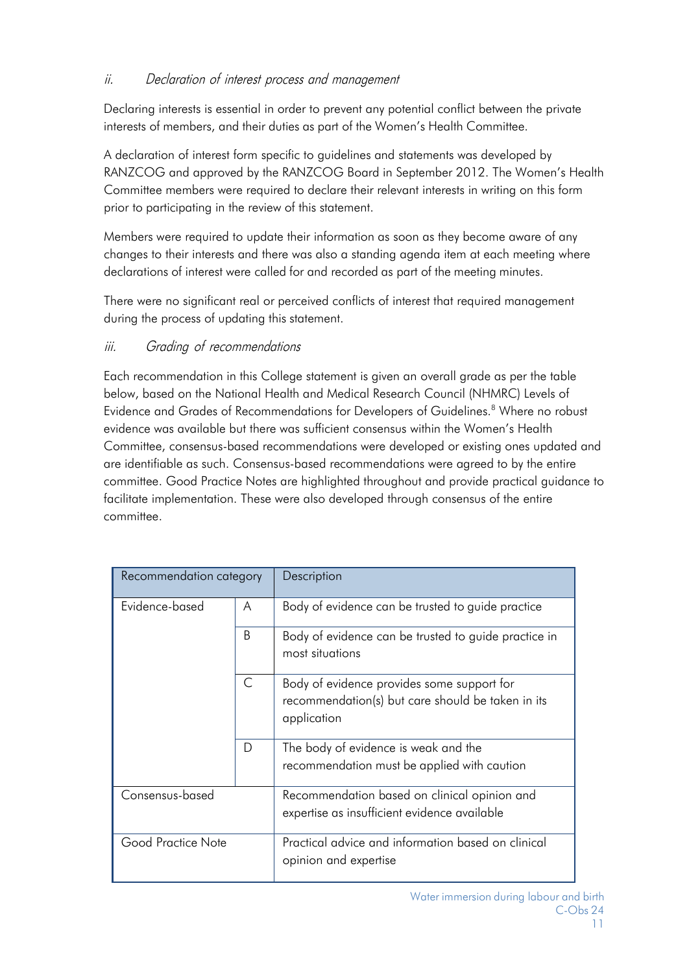## ii. Declaration of interest process and management

Declaring interests is essential in order to prevent any potential conflict between the private interests of members, and their duties as part of the Women's Health Committee.

A declaration of interest form specific to guidelines and statements was developed by RANZCOG and approved by the RANZCOG Board in September 2012. The Women's Health Committee members were required to declare their relevant interests in writing on this form prior to participating in the review of this statement.

Members were required to update their information as soon as they become aware of any changes to their interests and there was also a standing agenda item at each meeting where declarations of interest were called for and recorded as part of the meeting minutes.

There were no significant real or perceived conflicts of interest that required management during the process of updating this statement.

## iii. Grading of recommendations

Each recommendation in this College statement is given an overall grade as per the table below, based on the National Health and Medical Research Council (NHMRC) Levels of Evidence and Grades of Recommendations for Developers of Guidelines.<sup>8</sup> Where no robust evidence was available but there was sufficient consensus within the Women's Health Committee, consensus-based recommendations were developed or existing ones updated and are identifiable as such. Consensus-based recommendations were agreed to by the entire committee. Good Practice Notes are highlighted throughout and provide practical guidance to facilitate implementation. These were also developed through consensus of the entire committee.

| Recommendation category |   | Description                                                                                                    |
|-------------------------|---|----------------------------------------------------------------------------------------------------------------|
| Evidence-based          | A | Body of evidence can be trusted to guide practice                                                              |
|                         | B | Body of evidence can be trusted to guide practice in<br>most situations                                        |
|                         | C | Body of evidence provides some support for<br>recommendation(s) but care should be taken in its<br>application |
|                         | D | The body of evidence is weak and the<br>recommendation must be applied with caution                            |
| Consensus-based         |   | Recommendation based on clinical opinion and<br>expertise as insufficient evidence available                   |
| Good Practice Note      |   | Practical advice and information based on clinical<br>opinion and expertise                                    |